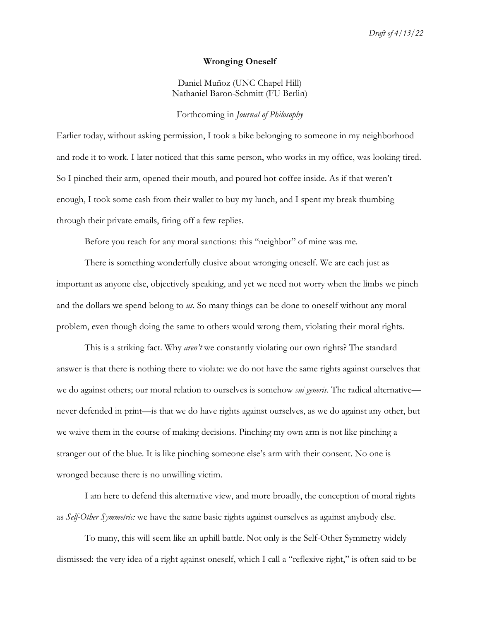#### **Wronging Oneself**

Daniel Muñoz (UNC Chapel Hill) Nathaniel Baron-Schmitt (FU Berlin)

## Forthcoming in *Journal of Philosophy*

Earlier today, without asking permission, I took a bike belonging to someone in my neighborhood and rode it to work. I later noticed that this same person, who works in my office, was looking tired. So I pinched their arm, opened their mouth, and poured hot coffee inside. As if that weren't enough, I took some cash from their wallet to buy my lunch, and I spent my break thumbing through their private emails, firing off a few replies.

Before you reach for any moral sanctions: this "neighbor" of mine was me.

There is something wonderfully elusive about wronging oneself. We are each just as important as anyone else, objectively speaking, and yet we need not worry when the limbs we pinch and the dollars we spend belong to *us*. So many things can be done to oneself without any moral problem, even though doing the same to others would wrong them, violating their moral rights.

This is a striking fact. Why *aren't* we constantly violating our own rights? The standard answer is that there is nothing there to violate: we do not have the same rights against ourselves that we do against others; our moral relation to ourselves is somehow *sui generis*. The radical alternative never defended in print—is that we do have rights against ourselves, as we do against any other, but we waive them in the course of making decisions. Pinching my own arm is not like pinching a stranger out of the blue. It is like pinching someone else's arm with their consent. No one is wronged because there is no unwilling victim.

I am here to defend this alternative view, and more broadly, the conception of moral rights as *Self-Other Symmetric:* we have the same basic rights against ourselves as against anybody else.

To many, this will seem like an uphill battle. Not only is the Self-Other Symmetry widely dismissed: the very idea of a right against oneself, which I call a "reflexive right," is often said to be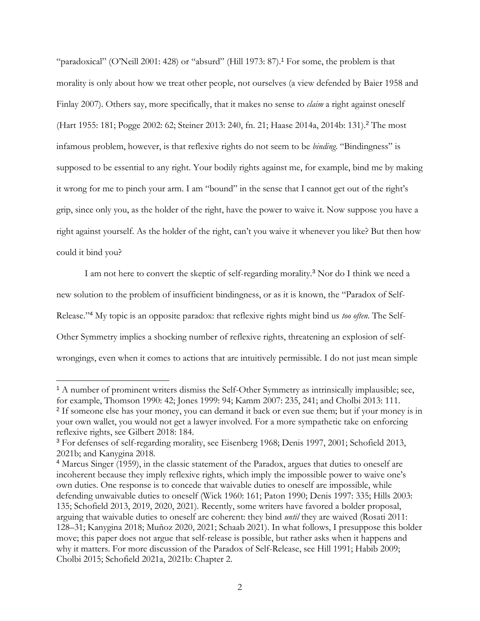"paradoxical" (O'Neill 2001: 428) or "absurd" (Hill 1973: 87).<sup>1</sup> For some, the problem is that morality is only about how we treat other people, not ourselves (a view defended by Baier 1958 and Finlay 2007). Others say, more specifically, that it makes no sense to *claim* a right against oneself (Hart 1955: 181; Pogge 2002: 62; Steiner 2013: 240, fn. 21; Haase 2014a, 2014b: 131).<sup>2</sup> The most infamous problem, however, is that reflexive rights do not seem to be *binding*. "Bindingness" is supposed to be essential to any right. Your bodily rights against me, for example, bind me by making it wrong for me to pinch your arm. I am "bound" in the sense that I cannot get out of the right's grip, since only you, as the holder of the right, have the power to waive it. Now suppose you have a right against yourself. As the holder of the right, can't you waive it whenever you like? But then how could it bind you?

I am not here to convert the skeptic of self-regarding morality.<sup>3</sup> Nor do I think we need a new solution to the problem of insufficient bindingness, or as it is known, the "Paradox of Self-Release."<sup>4</sup> My topic is an opposite paradox: that reflexive rights might bind us *too often*. The Self-Other Symmetry implies a shocking number of reflexive rights, threatening an explosion of selfwrongings, even when it comes to actions that are intuitively permissible. I do not just mean simple

<sup>&</sup>lt;sup>1</sup> A number of prominent writers dismiss the Self-Other Symmetry as intrinsically implausible; see, for example, Thomson 1990: 42; Jones 1999: 94; Kamm 2007: 235, 241; and Cholbi 2013: 111. <sup>2</sup> If someone else has your money, you can demand it back or even sue them; but if your money is in your own wallet, you would not get a lawyer involved. For a more sympathetic take on enforcing reflexive rights, see Gilbert 2018: 184.

<sup>3</sup> For defenses of self-regarding morality, see Eisenberg 1968; Denis 1997, 2001; Schofield 2013, 2021b; and Kanygina 2018.

<sup>4</sup> Marcus Singer (1959), in the classic statement of the Paradox, argues that duties to oneself are incoherent because they imply reflexive rights, which imply the impossible power to waive one's own duties. One response is to concede that waivable duties to oneself are impossible, while defending unwaivable duties to oneself (Wick 1960: 161; Paton 1990; Denis 1997: 335; Hills 2003: 135; Schofield 2013, 2019, 2020, 2021). Recently, some writers have favored a bolder proposal, arguing that waivable duties to oneself are coherent: they bind *until* they are waived (Rosati 2011: 128–31; Kanygina 2018; Muñoz 2020, 2021; Schaab 2021). In what follows, I presuppose this bolder move; this paper does not argue that self-release is possible, but rather asks when it happens and why it matters. For more discussion of the Paradox of Self-Release, see Hill 1991; Habib 2009; Cholbi 2015; Schofield 2021a, 2021b: Chapter 2.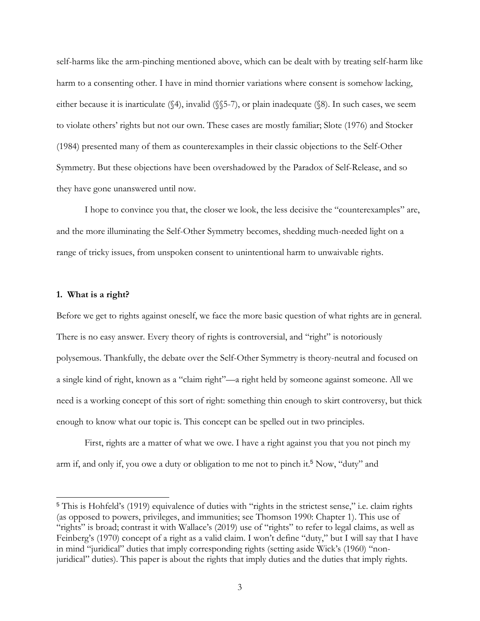self-harms like the arm-pinching mentioned above, which can be dealt with by treating self-harm like harm to a consenting other. I have in mind thornier variations where consent is somehow lacking, either because it is inarticulate (§4), invalid (§§5-7), or plain inadequate (§8). In such cases, we seem to violate others' rights but not our own. These cases are mostly familiar; Slote (1976) and Stocker (1984) presented many of them as counterexamples in their classic objections to the Self-Other Symmetry. But these objections have been overshadowed by the Paradox of Self-Release, and so they have gone unanswered until now.

I hope to convince you that, the closer we look, the less decisive the "counterexamples" are, and the more illuminating the Self-Other Symmetry becomes, shedding much-needed light on a range of tricky issues, from unspoken consent to unintentional harm to unwaivable rights.

## **1. What is a right?**

Before we get to rights against oneself, we face the more basic question of what rights are in general. There is no easy answer. Every theory of rights is controversial, and "right" is notoriously polysemous. Thankfully, the debate over the Self-Other Symmetry is theory-neutral and focused on a single kind of right, known as a "claim right"—a right held by someone against someone. All we need is a working concept of this sort of right: something thin enough to skirt controversy, but thick enough to know what our topic is. This concept can be spelled out in two principles.

First, rights are a matter of what we owe. I have a right against you that you not pinch my arm if, and only if, you owe a duty or obligation to me not to pinch it.<sup>5</sup> Now, "duty" and

<sup>5</sup> This is Hohfeld's (1919) equivalence of duties with "rights in the strictest sense," i.e. claim rights (as opposed to powers, privileges, and immunities; see Thomson 1990: Chapter 1). This use of "rights" is broad; contrast it with Wallace's (2019) use of "rights" to refer to legal claims, as well as Feinberg's (1970) concept of a right as a valid claim. I won't define "duty," but I will say that I have in mind "juridical" duties that imply corresponding rights (setting aside Wick's (1960) "nonjuridical" duties). This paper is about the rights that imply duties and the duties that imply rights.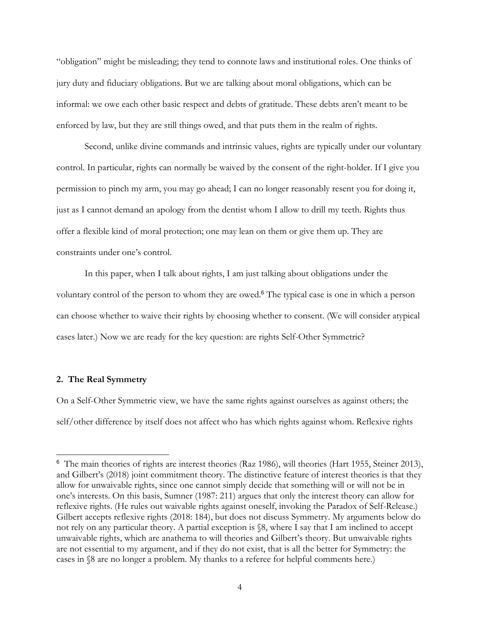"obligation" might be misleading; they tend to connote laws and institutional roles. One thinks of jury duty and fiduciary obligations. But we are talking about moral obligations, which can be informal: we owe each other basic respect and debts of gratitude. These debts aren't meant to be enforced by law, but they are still things owed, and that puts them in the realm of rights.

Second, unlike divine commands and intrinsic values, rights are typically under our voluntary control. In particular, rights can normally be waived by the consent of the right-holder. If I give you permission to pinch my arm, you may go ahead; I can no longer reasonably resent you for doing it, just as I cannot demand an apology from the dentist whom I allow to drill my teeth. Rights thus offer a flexible kind of moral protection; one may lean on them or give them up. They are constraints under one's control.

In this paper, when I talk about rights, I am just talking about obligations under the voluntary control of the person to whom they are owed.<sup>6</sup> The typical case is one in which a person can choose whether to waive their rights by choosing whether to consent. (We will consider atypical cases later.) Now we are ready for the key question: are rights Self-Other Symmetric?

# **2. The Real Symmetry**

On a Self-Other Symmetric view, we have the same rights against ourselves as against others; the self/other difference by itself does not affect who has which rights against whom. Reflexive rights

<sup>6</sup> The main theories of rights are interest theories (Raz 1986), will theories (Hart 1955, Steiner 2013), and Gilbert's (2018) joint commitment theory. The distinctive feature of interest theories is that they allow for unwaivable rights, since one cannot simply decide that something will or will not be in one's interests. On this basis, Sumner (1987: 211) argues that only the interest theory can allow for reflexive rights. (He rules out waivable rights against oneself, invoking the Paradox of Self-Release.) Gilbert accepts reflexive rights (2018: 184), but does not discuss Symmetry. My arguments below do not rely on any particular theory. A partial exception is §8, where I say that I am inclined to accept unwaivable rights, which are anathema to will theories and Gilbert's theory. But unwaivable rights are not essential to my argument, and if they do not exist, that is all the better for Symmetry: the cases in §8 are no longer a problem. My thanks to a referee for helpful comments here.)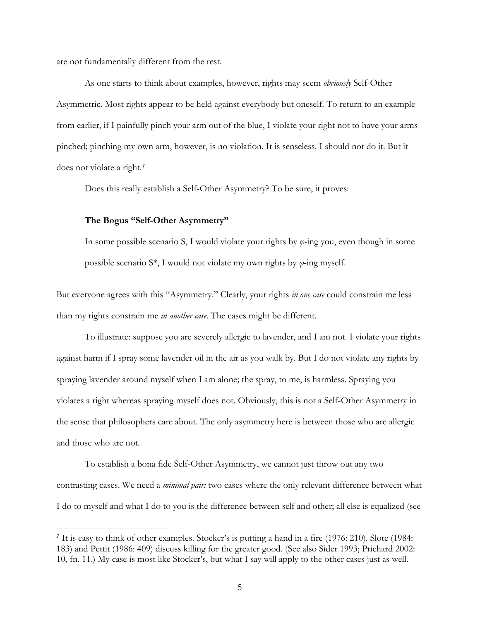are not fundamentally different from the rest.

As one starts to think about examples, however, rights may seem *obviously* Self-Other Asymmetric. Most rights appear to be held against everybody but oneself. To return to an example from earlier, if I painfully pinch your arm out of the blue, I violate your right not to have your arms pinched; pinching my own arm, however, is no violation. It is senseless. I should not do it. But it does not violate a right.<sup>7</sup>

Does this really establish a Self-Other Asymmetry? To be sure, it proves:

## **The Bogus "Self-Other Asymmetry"**

In some possible scenario S, I would violate your rights by *φ*-ing you, even though in some possible scenario S\*, I would not violate my own rights by *φ*-ing myself.

But everyone agrees with this "Asymmetry." Clearly, your rights *in one case* could constrain me less than my rights constrain me *in another case*. The cases might be different.

To illustrate: suppose you are severely allergic to lavender, and I am not. I violate your rights against harm if I spray some lavender oil in the air as you walk by. But I do not violate any rights by spraying lavender around myself when I am alone; the spray, to me, is harmless. Spraying you violates a right whereas spraying myself does not. Obviously, this is not a Self-Other Asymmetry in the sense that philosophers care about. The only asymmetry here is between those who are allergic and those who are not.

To establish a bona fide Self-Other Asymmetry, we cannot just throw out any two contrasting cases. We need a *minimal pair:* two cases where the only relevant difference between what I do to myself and what I do to you is the difference between self and other; all else is equalized (see

<sup>&</sup>lt;sup>7</sup> It is easy to think of other examples. Stocker's is putting a hand in a fire (1976: 210). Slote (1984: 183) and Pettit (1986: 409) discuss killing for the greater good. (See also Sider 1993; Prichard 2002: 10, fn. 11.) My case is most like Stocker's, but what I say will apply to the other cases just as well.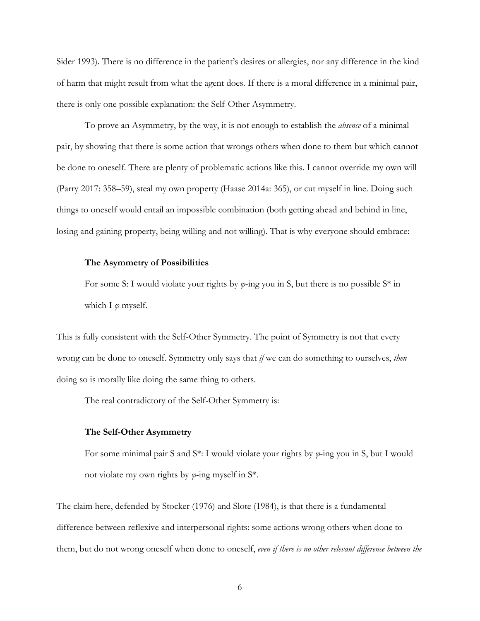Sider 1993). There is no difference in the patient's desires or allergies, nor any difference in the kind of harm that might result from what the agent does. If there is a moral difference in a minimal pair, there is only one possible explanation: the Self-Other Asymmetry.

To prove an Asymmetry, by the way, it is not enough to establish the *absence* of a minimal pair, by showing that there is some action that wrongs others when done to them but which cannot be done to oneself. There are plenty of problematic actions like this. I cannot override my own will (Parry 2017: 358–59), steal my own property (Haase 2014a: 365), or cut myself in line. Doing such things to oneself would entail an impossible combination (both getting ahead and behind in line, losing and gaining property, being willing and not willing). That is why everyone should embrace:

## **The Asymmetry of Possibilities**

For some S: I would violate your rights by *φ*-ing you in S, but there is no possible S\* in which I *φ* myself.

This is fully consistent with the Self-Other Symmetry. The point of Symmetry is not that every wrong can be done to oneself. Symmetry only says that *if* we can do something to ourselves, *then*  doing so is morally like doing the same thing to others.

The real contradictory of the Self-Other Symmetry is:

#### **The Self-Other Asymmetry**

For some minimal pair S and S\*: I would violate your rights by *φ*-ing you in S, but I would not violate my own rights by *φ*-ing myself in S\*.

The claim here, defended by Stocker (1976) and Slote (1984), is that there is a fundamental difference between reflexive and interpersonal rights: some actions wrong others when done to them, but do not wrong oneself when done to oneself, *even if there is no other relevant difference between the*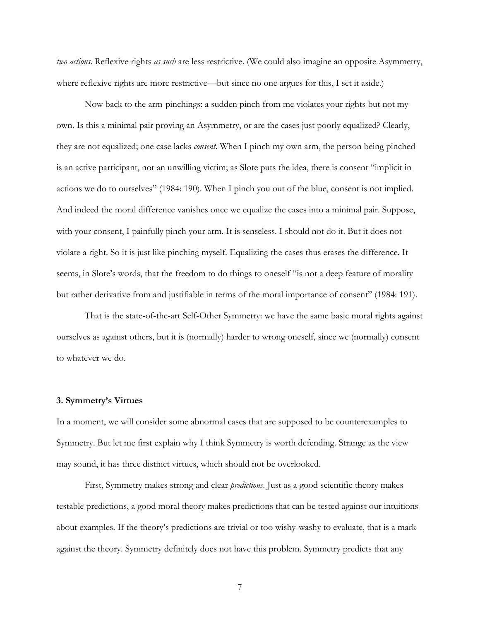*two actions*. Reflexive rights *as such* are less restrictive. (We could also imagine an opposite Asymmetry, where reflexive rights are more restrictive—but since no one argues for this, I set it aside.)

Now back to the arm-pinchings: a sudden pinch from me violates your rights but not my own. Is this a minimal pair proving an Asymmetry, or are the cases just poorly equalized? Clearly, they are not equalized; one case lacks *consent*. When I pinch my own arm, the person being pinched is an active participant, not an unwilling victim; as Slote puts the idea, there is consent "implicit in actions we do to ourselves" (1984: 190). When I pinch you out of the blue, consent is not implied. And indeed the moral difference vanishes once we equalize the cases into a minimal pair. Suppose, with your consent, I painfully pinch your arm. It is senseless. I should not do it. But it does not violate a right. So it is just like pinching myself. Equalizing the cases thus erases the difference. It seems, in Slote's words, that the freedom to do things to oneself "is not a deep feature of morality but rather derivative from and justifiable in terms of the moral importance of consent" (1984: 191).

That is the state-of-the-art Self-Other Symmetry: we have the same basic moral rights against ourselves as against others, but it is (normally) harder to wrong oneself, since we (normally) consent to whatever we do.

# **3. Symmetry's Virtues**

In a moment, we will consider some abnormal cases that are supposed to be counterexamples to Symmetry. But let me first explain why I think Symmetry is worth defending. Strange as the view may sound, it has three distinct virtues, which should not be overlooked.

First, Symmetry makes strong and clear *predictions*. Just as a good scientific theory makes testable predictions, a good moral theory makes predictions that can be tested against our intuitions about examples. If the theory's predictions are trivial or too wishy-washy to evaluate, that is a mark against the theory. Symmetry definitely does not have this problem. Symmetry predicts that any

7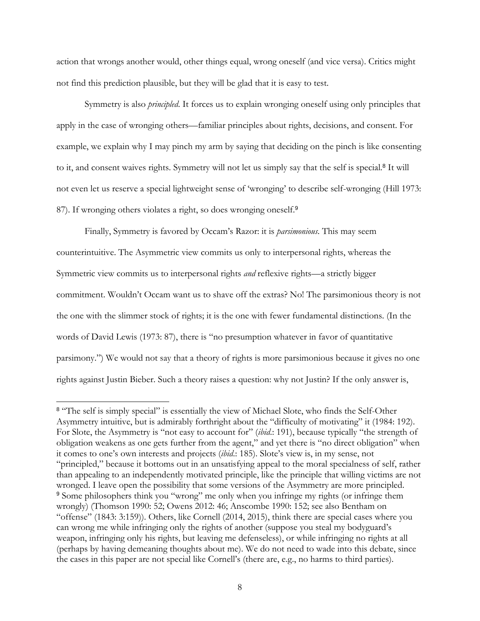action that wrongs another would, other things equal, wrong oneself (and vice versa). Critics might not find this prediction plausible, but they will be glad that it is easy to test.

Symmetry is also *principled*. It forces us to explain wronging oneself using only principles that apply in the case of wronging others—familiar principles about rights, decisions, and consent. For example, we explain why I may pinch my arm by saying that deciding on the pinch is like consenting to it, and consent waives rights. Symmetry will not let us simply say that the self is special.<sup>8</sup> It will not even let us reserve a special lightweight sense of 'wronging' to describe self-wronging (Hill 1973: 87). If wronging others violates a right, so does wronging oneself.<sup>9</sup>

Finally, Symmetry is favored by Occam's Razor: it is *parsimonious*. This may seem counterintuitive. The Asymmetric view commits us only to interpersonal rights, whereas the Symmetric view commits us to interpersonal rights *and* reflexive rights—a strictly bigger commitment. Wouldn't Occam want us to shave off the extras? No! The parsimonious theory is not the one with the slimmer stock of rights; it is the one with fewer fundamental distinctions. (In the words of David Lewis (1973: 87), there is "no presumption whatever in favor of quantitative parsimony.") We would not say that a theory of rights is more parsimonious because it gives no one rights against Justin Bieber. Such a theory raises a question: why not Justin? If the only answer is,

<sup>&</sup>lt;sup>8</sup> "The self is simply special" is essentially the view of Michael Slote, who finds the Self-Other Asymmetry intuitive, but is admirably forthright about the "difficulty of motivating" it (1984: 192). For Slote, the Asymmetry is "not easy to account for" (*ibid*.: 191), because typically "the strength of obligation weakens as one gets further from the agent," and yet there is "no direct obligation" when it comes to one's own interests and projects (*ibid*.: 185). Slote's view is, in my sense, not "principled," because it bottoms out in an unsatisfying appeal to the moral specialness of self, rather than appealing to an independently motivated principle, like the principle that willing victims are not wronged. I leave open the possibility that some versions of the Asymmetry are more principled. <sup>9</sup> Some philosophers think you "wrong" me only when you infringe my rights (or infringe them wrongly) (Thomson 1990: 52; Owens 2012: 46; Anscombe 1990: 152; see also Bentham on "offense" (1843: 3:159)). Others, like Cornell (2014, 2015), think there are special cases where you can wrong me while infringing only the rights of another (suppose you steal my bodyguard's weapon, infringing only his rights, but leaving me defenseless), or while infringing no rights at all (perhaps by having demeaning thoughts about me). We do not need to wade into this debate, since the cases in this paper are not special like Cornell's (there are, e.g., no harms to third parties).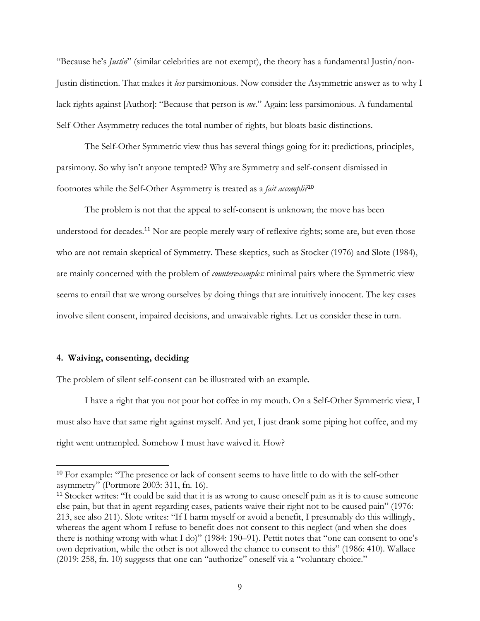"Because he's *Justin*" (similar celebrities are not exempt), the theory has a fundamental Justin/non-Justin distinction. That makes it *less* parsimonious. Now consider the Asymmetric answer as to why I lack rights against [Author]: "Because that person is *me*." Again: less parsimonious. A fundamental Self-Other Asymmetry reduces the total number of rights, but bloats basic distinctions.

The Self-Other Symmetric view thus has several things going for it: predictions, principles, parsimony. So why isn't anyone tempted? Why are Symmetry and self-consent dismissed in footnotes while the Self-Other Asymmetry is treated as a *fait accompli?*<sup>10</sup>

The problem is not that the appeal to self-consent is unknown; the move has been understood for decades.<sup>11</sup> Nor are people merely wary of reflexive rights; some are, but even those who are not remain skeptical of Symmetry. These skeptics, such as Stocker (1976) and Slote (1984), are mainly concerned with the problem of *counterexamples:* minimal pairs where the Symmetric view seems to entail that we wrong ourselves by doing things that are intuitively innocent. The key cases involve silent consent, impaired decisions, and unwaivable rights. Let us consider these in turn.

## **4. Waiving, consenting, deciding**

The problem of silent self-consent can be illustrated with an example.

I have a right that you not pour hot coffee in my mouth. On a Self-Other Symmetric view, I must also have that same right against myself. And yet, I just drank some piping hot coffee, and my right went untrampled. Somehow I must have waived it. How?

<sup>&</sup>lt;sup>10</sup> For example: "The presence or lack of consent seems to have little to do with the self-other asymmetry" (Portmore 2003: 311, fn. 16).

<sup>&</sup>lt;sup>11</sup> Stocker writes: "It could be said that it is as wrong to cause oneself pain as it is to cause someone else pain, but that in agent-regarding cases, patients waive their right not to be caused pain" (1976: 213, see also 211). Slote writes: "If I harm myself or avoid a benefit, I presumably do this willingly, whereas the agent whom I refuse to benefit does not consent to this neglect (and when she does there is nothing wrong with what I do)" (1984: 190–91). Pettit notes that "one can consent to one's own deprivation, while the other is not allowed the chance to consent to this" (1986: 410). Wallace (2019: 258, fn. 10) suggests that one can "authorize" oneself via a "voluntary choice."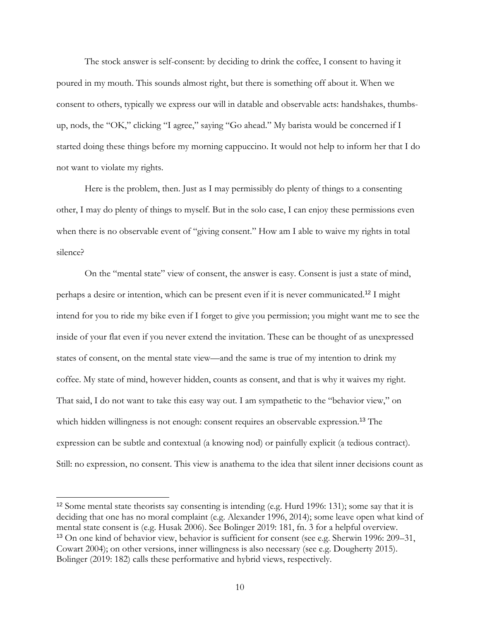The stock answer is self-consent: by deciding to drink the coffee, I consent to having it poured in my mouth. This sounds almost right, but there is something off about it. When we consent to others, typically we express our will in datable and observable acts: handshakes, thumbsup, nods, the "OK," clicking "I agree," saying "Go ahead." My barista would be concerned if I started doing these things before my morning cappuccino. It would not help to inform her that I do not want to violate my rights.

Here is the problem, then. Just as I may permissibly do plenty of things to a consenting other, I may do plenty of things to myself. But in the solo case, I can enjoy these permissions even when there is no observable event of "giving consent." How am I able to waive my rights in total silence?

On the "mental state" view of consent, the answer is easy. Consent is just a state of mind, perhaps a desire or intention, which can be present even if it is never communicated.<sup>12</sup> I might intend for you to ride my bike even if I forget to give you permission; you might want me to see the inside of your flat even if you never extend the invitation. These can be thought of as unexpressed states of consent, on the mental state view—and the same is true of my intention to drink my coffee. My state of mind, however hidden, counts as consent, and that is why it waives my right. That said, I do not want to take this easy way out. I am sympathetic to the "behavior view," on which hidden willingness is not enough: consent requires an observable expression.<sup>13</sup> The expression can be subtle and contextual (a knowing nod) or painfully explicit (a tedious contract). Still: no expression, no consent. This view is anathema to the idea that silent inner decisions count as

<sup>12</sup> Some mental state theorists say consenting is intending (e.g. Hurd 1996: 131); some say that it is deciding that one has no moral complaint (e.g. Alexander 1996, 2014); some leave open what kind of mental state consent is (e.g. Husak 2006). See Bolinger 2019: 181, fn. 3 for a helpful overview. <sup>13</sup> On one kind of behavior view, behavior is sufficient for consent (see e.g. Sherwin 1996: 209–31, Cowart 2004); on other versions, inner willingness is also necessary (see e.g. Dougherty 2015). Bolinger (2019: 182) calls these performative and hybrid views, respectively.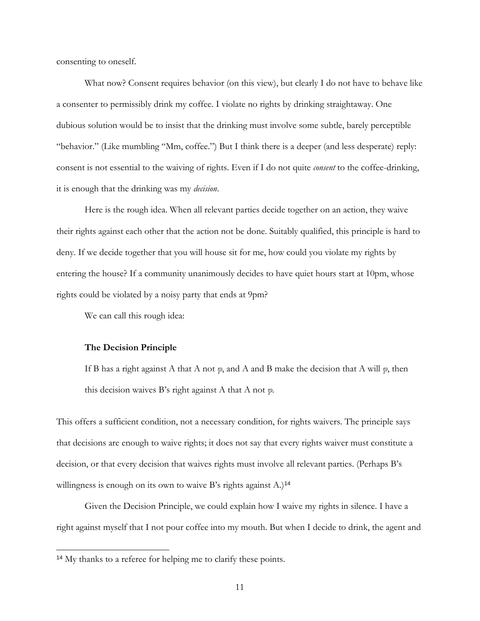consenting to oneself.

What now? Consent requires behavior (on this view), but clearly I do not have to behave like a consenter to permissibly drink my coffee. I violate no rights by drinking straightaway. One dubious solution would be to insist that the drinking must involve some subtle, barely perceptible "behavior." (Like mumbling "Mm, coffee.") But I think there is a deeper (and less desperate) reply: consent is not essential to the waiving of rights. Even if I do not quite *consent* to the coffee-drinking, it is enough that the drinking was my *decision*.

Here is the rough idea. When all relevant parties decide together on an action, they waive their rights against each other that the action not be done. Suitably qualified, this principle is hard to deny. If we decide together that you will house sit for me, how could you violate my rights by entering the house? If a community unanimously decides to have quiet hours start at 10pm, whose rights could be violated by a noisy party that ends at 9pm?

We can call this rough idea:

#### **The Decision Principle**

If B has a right against A that A not *φ*, and A and B make the decision that A will *φ*, then this decision waives B's right against A that A not *φ.*

This offers a sufficient condition, not a necessary condition, for rights waivers. The principle says that decisions are enough to waive rights; it does not say that every rights waiver must constitute a decision, or that every decision that waives rights must involve all relevant parties. (Perhaps B's willingness is enough on its own to waive B's rights against A.)<sup>14</sup>

Given the Decision Principle, we could explain how I waive my rights in silence. I have a right against myself that I not pour coffee into my mouth. But when I decide to drink, the agent and

<sup>14</sup> My thanks to a referee for helping me to clarify these points.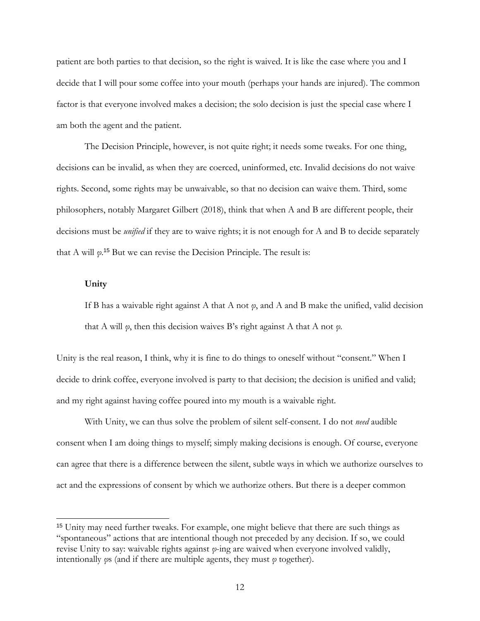patient are both parties to that decision, so the right is waived. It is like the case where you and I decide that I will pour some coffee into your mouth (perhaps your hands are injured). The common factor is that everyone involved makes a decision; the solo decision is just the special case where I am both the agent and the patient.

The Decision Principle, however, is not quite right; it needs some tweaks. For one thing, decisions can be invalid, as when they are coerced, uninformed, etc. Invalid decisions do not waive rights. Second, some rights may be unwaivable, so that no decision can waive them. Third, some philosophers, notably Margaret Gilbert (2018), think that when A and B are different people, their decisions must be *unified* if they are to waive rights; it is not enough for A and B to decide separately that A will *φ*. <sup>15</sup> But we can revise the Decision Principle. The result is:

# **Unity**

If B has a waivable right against A that A not *φ*, and A and B make the unified, valid decision that A will *φ*, then this decision waives B's right against A that A not *φ.*

Unity is the real reason, I think, why it is fine to do things to oneself without "consent." When I decide to drink coffee, everyone involved is party to that decision; the decision is unified and valid; and my right against having coffee poured into my mouth is a waivable right.

With Unity, we can thus solve the problem of silent self-consent. I do not *need* audible consent when I am doing things to myself; simply making decisions is enough. Of course, everyone can agree that there is a difference between the silent, subtle ways in which we authorize ourselves to act and the expressions of consent by which we authorize others. But there is a deeper common

<sup>&</sup>lt;sup>15</sup> Unity may need further tweaks. For example, one might believe that there are such things as "spontaneous" actions that are intentional though not preceded by any decision. If so, we could revise Unity to say: waivable rights against *φ*-ing are waived when everyone involved validly, intentionally *φ*s (and if there are multiple agents, they must *φ* together).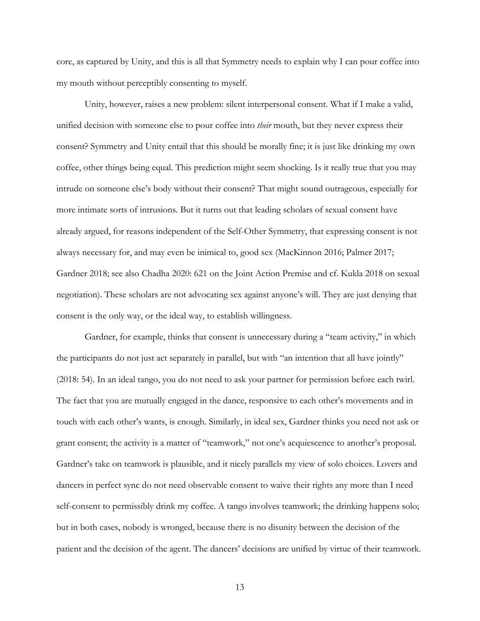core, as captured by Unity, and this is all that Symmetry needs to explain why I can pour coffee into my mouth without perceptibly consenting to myself.

Unity, however, raises a new problem: silent interpersonal consent. What if I make a valid, unified decision with someone else to pour coffee into *their* mouth, but they never express their consent? Symmetry and Unity entail that this should be morally fine; it is just like drinking my own coffee, other things being equal. This prediction might seem shocking. Is it really true that you may intrude on someone else's body without their consent? That might sound outrageous, especially for more intimate sorts of intrusions. But it turns out that leading scholars of sexual consent have already argued, for reasons independent of the Self-Other Symmetry, that expressing consent is not always necessary for, and may even be inimical to, good sex (MacKinnon 2016; Palmer 2017; Gardner 2018; see also Chadha 2020: 621 on the Joint Action Premise and cf. Kukla 2018 on sexual negotiation). These scholars are not advocating sex against anyone's will. They are just denying that consent is the only way, or the ideal way, to establish willingness.

Gardner, for example, thinks that consent is unnecessary during a "team activity," in which the participants do not just act separately in parallel, but with "an intention that all have jointly" (2018: 54). In an ideal tango, you do not need to ask your partner for permission before each twirl. The fact that you are mutually engaged in the dance, responsive to each other's movements and in touch with each other's wants, is enough. Similarly, in ideal sex, Gardner thinks you need not ask or grant consent; the activity is a matter of "teamwork," not one's acquiescence to another's proposal. Gardner's take on teamwork is plausible, and it nicely parallels my view of solo choices. Lovers and dancers in perfect sync do not need observable consent to waive their rights any more than I need self-consent to permissibly drink my coffee. A tango involves teamwork; the drinking happens solo; but in both cases, nobody is wronged, because there is no disunity between the decision of the patient and the decision of the agent. The dancers' decisions are unified by virtue of their teamwork.

13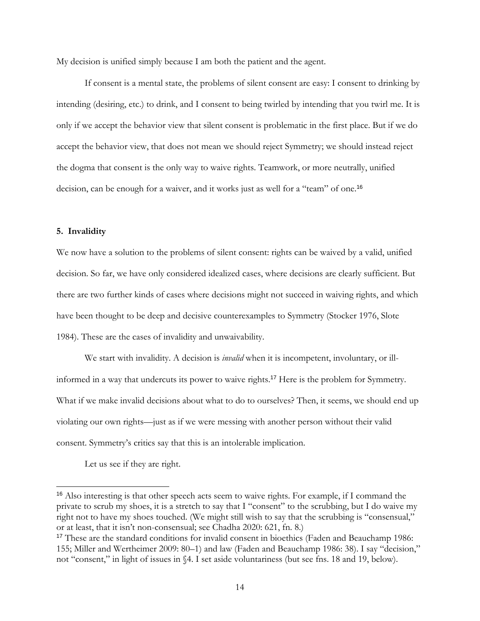My decision is unified simply because I am both the patient and the agent.

If consent is a mental state, the problems of silent consent are easy: I consent to drinking by intending (desiring, etc.) to drink, and I consent to being twirled by intending that you twirl me. It is only if we accept the behavior view that silent consent is problematic in the first place. But if we do accept the behavior view, that does not mean we should reject Symmetry; we should instead reject the dogma that consent is the only way to waive rights. Teamwork, or more neutrally, unified decision, can be enough for a waiver, and it works just as well for a "team" of one.<sup>16</sup>

## **5. Invalidity**

We now have a solution to the problems of silent consent: rights can be waived by a valid, unified decision. So far, we have only considered idealized cases, where decisions are clearly sufficient. But there are two further kinds of cases where decisions might not succeed in waiving rights, and which have been thought to be deep and decisive counterexamples to Symmetry (Stocker 1976, Slote 1984). These are the cases of invalidity and unwaivability.

We start with invalidity. A decision is *invalid* when it is incompetent, involuntary, or illinformed in a way that undercuts its power to waive rights.<sup>17</sup> Here is the problem for Symmetry. What if we make invalid decisions about what to do to ourselves? Then, it seems, we should end up violating our own rights—just as if we were messing with another person without their valid consent. Symmetry's critics say that this is an intolerable implication.

Let us see if they are right.

<sup>&</sup>lt;sup>16</sup> Also interesting is that other speech acts seem to waive rights. For example, if I command the private to scrub my shoes, it is a stretch to say that I "consent" to the scrubbing, but I do waive my right not to have my shoes touched. (We might still wish to say that the scrubbing is "consensual," or at least, that it isn't non-consensual; see Chadha 2020: 621, fn. 8.)

<sup>&</sup>lt;sup>17</sup> These are the standard conditions for invalid consent in bioethics (Faden and Beauchamp 1986: 155; Miller and Wertheimer 2009: 80–1) and law (Faden and Beauchamp 1986: 38). I say "decision," not "consent," in light of issues in §4. I set aside voluntariness (but see fns. 18 and 19, below).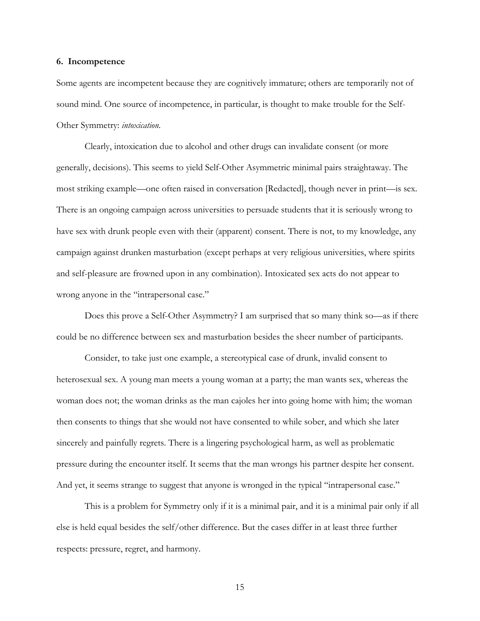#### **6. Incompetence**

Some agents are incompetent because they are cognitively immature; others are temporarily not of sound mind. One source of incompetence, in particular, is thought to make trouble for the Self-Other Symmetry: *intoxication*.

Clearly, intoxication due to alcohol and other drugs can invalidate consent (or more generally, decisions). This seems to yield Self-Other Asymmetric minimal pairs straightaway. The most striking example—one often raised in conversation [Redacted], though never in print—is sex. There is an ongoing campaign across universities to persuade students that it is seriously wrong to have sex with drunk people even with their (apparent) consent. There is not, to my knowledge, any campaign against drunken masturbation (except perhaps at very religious universities, where spirits and self-pleasure are frowned upon in any combination). Intoxicated sex acts do not appear to wrong anyone in the "intrapersonal case."

Does this prove a Self-Other Asymmetry? I am surprised that so many think so—as if there could be no difference between sex and masturbation besides the sheer number of participants.

Consider, to take just one example, a stereotypical case of drunk, invalid consent to heterosexual sex. A young man meets a young woman at a party; the man wants sex, whereas the woman does not; the woman drinks as the man cajoles her into going home with him; the woman then consents to things that she would not have consented to while sober, and which she later sincerely and painfully regrets. There is a lingering psychological harm, as well as problematic pressure during the encounter itself. It seems that the man wrongs his partner despite her consent. And yet, it seems strange to suggest that anyone is wronged in the typical "intrapersonal case."

This is a problem for Symmetry only if it is a minimal pair, and it is a minimal pair only if all else is held equal besides the self/other difference. But the cases differ in at least three further respects: pressure, regret, and harmony.

15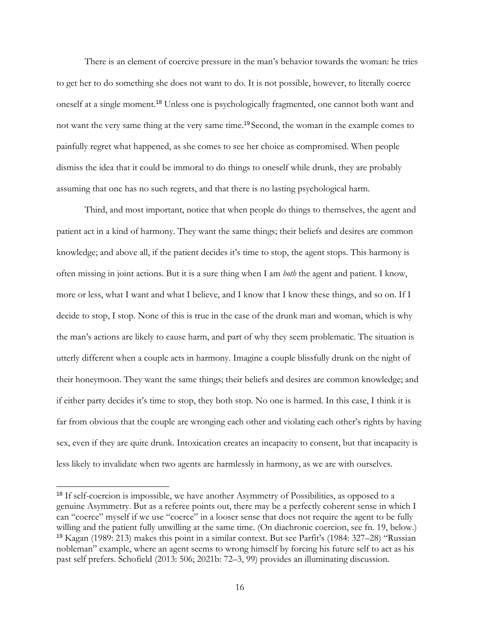There is an element of coercive pressure in the man's behavior towards the woman: he tries to get her to do something she does not want to do. It is not possible, however, to literally coerce oneself at a single moment.<sup>18</sup> Unless one is psychologically fragmented, one cannot both want and not want the very same thing at the very same time.<sup>19</sup> Second, the woman in the example comes to painfully regret what happened, as she comes to see her choice as compromised. When people dismiss the idea that it could be immoral to do things to oneself while drunk, they are probably assuming that one has no such regrets, and that there is no lasting psychological harm.

Third, and most important, notice that when people do things to themselves, the agent and patient act in a kind of harmony. They want the same things; their beliefs and desires are common knowledge; and above all, if the patient decides it's time to stop, the agent stops. This harmony is often missing in joint actions. But it is a sure thing when I am *both* the agent and patient. I know, more or less, what I want and what I believe, and I know that I know these things, and so on. If I decide to stop, I stop. None of this is true in the case of the drunk man and woman, which is why the man's actions are likely to cause harm, and part of why they seem problematic. The situation is utterly different when a couple acts in harmony. Imagine a couple blissfully drunk on the night of their honeymoon. They want the same things; their beliefs and desires are common knowledge; and if either party decides it's time to stop, they both stop. No one is harmed. In this case, I think it is far from obvious that the couple are wronging each other and violating each other's rights by having sex, even if they are quite drunk. Intoxication creates an incapacity to consent, but that incapacity is less likely to invalidate when two agents are harmlessly in harmony, as we are with ourselves.

<sup>&</sup>lt;sup>18</sup> If self-coercion is impossible, we have another Asymmetry of Possibilities, as opposed to a genuine Asymmetry. But as a referee points out, there may be a perfectly coherent sense in which I can "coerce" myself if we use "coerce" in a looser sense that does not require the agent to be fully willing and the patient fully unwilling at the same time. (On diachronic coercion, see fn. 19, below.) <sup>19</sup> Kagan (1989: 213) makes this point in a similar context. But see Parfit's (1984: 327–28) "Russian nobleman" example, where an agent seems to wrong himself by forcing his future self to act as his past self prefers. Schofield (2013: 506; 2021b: 72–3, 99) provides an illuminating discussion.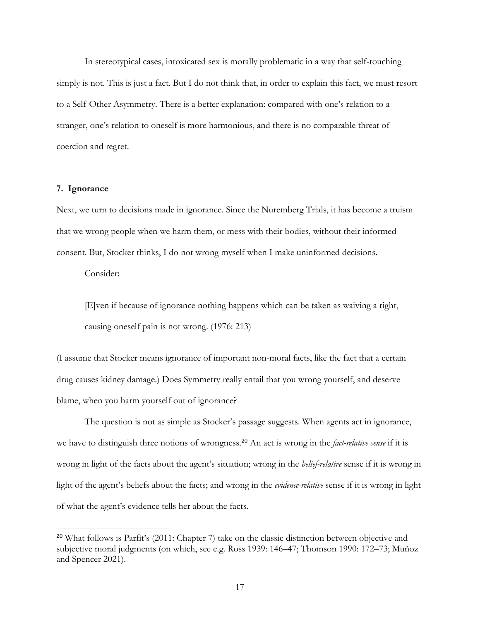In stereotypical cases, intoxicated sex is morally problematic in a way that self-touching simply is not. This is just a fact. But I do not think that, in order to explain this fact, we must resort to a Self-Other Asymmetry. There is a better explanation: compared with one's relation to a stranger, one's relation to oneself is more harmonious, and there is no comparable threat of coercion and regret.

## **7. Ignorance**

Next, we turn to decisions made in ignorance. Since the Nuremberg Trials, it has become a truism that we wrong people when we harm them, or mess with their bodies, without their informed consent. But, Stocker thinks, I do not wrong myself when I make uninformed decisions.

Consider:

[E]ven if because of ignorance nothing happens which can be taken as waiving a right, causing oneself pain is not wrong. (1976: 213)

(I assume that Stocker means ignorance of important non-moral facts, like the fact that a certain drug causes kidney damage.) Does Symmetry really entail that you wrong yourself, and deserve blame, when you harm yourself out of ignorance?

The question is not as simple as Stocker's passage suggests. When agents act in ignorance, we have to distinguish three notions of wrongness.<sup>20</sup> An act is wrong in the *fact-relative sense* if it is wrong in light of the facts about the agent's situation; wrong in the *belief-relative* sense if it is wrong in light of the agent's beliefs about the facts; and wrong in the *evidence-relative* sense if it is wrong in light of what the agent's evidence tells her about the facts.

<sup>20</sup> What follows is Parfit's (2011: Chapter 7) take on the classic distinction between objective and subjective moral judgments (on which, see e.g. Ross 1939: 146–47; Thomson 1990: 172–73; Muñoz and Spencer 2021).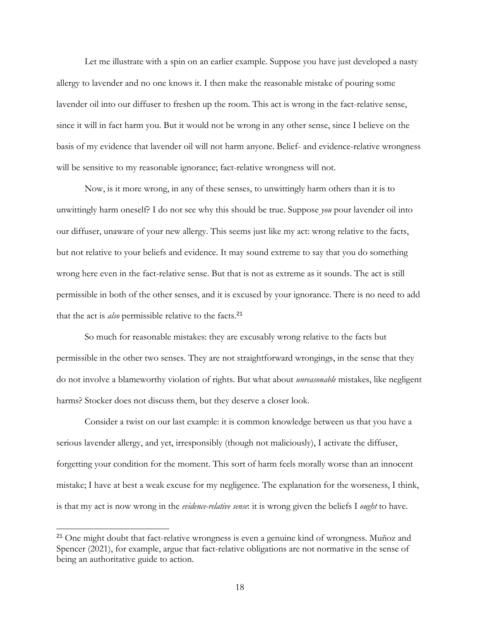Let me illustrate with a spin on an earlier example. Suppose you have just developed a nasty allergy to lavender and no one knows it. I then make the reasonable mistake of pouring some lavender oil into our diffuser to freshen up the room. This act is wrong in the fact-relative sense, since it will in fact harm you. But it would not be wrong in any other sense, since I believe on the basis of my evidence that lavender oil will not harm anyone. Belief- and evidence-relative wrongness will be sensitive to my reasonable ignorance; fact-relative wrongness will not.

Now, is it more wrong, in any of these senses, to unwittingly harm others than it is to unwittingly harm oneself? I do not see why this should be true. Suppose *you* pour lavender oil into our diffuser, unaware of your new allergy. This seems just like my act: wrong relative to the facts, but not relative to your beliefs and evidence. It may sound extreme to say that you do something wrong here even in the fact-relative sense. But that is not as extreme as it sounds. The act is still permissible in both of the other senses, and it is excused by your ignorance. There is no need to add that the act is *also* permissible relative to the facts.<sup>21</sup>

So much for reasonable mistakes: they are excusably wrong relative to the facts but permissible in the other two senses. They are not straightforward wrongings, in the sense that they do not involve a blameworthy violation of rights. But what about *unreasonable* mistakes, like negligent harms? Stocker does not discuss them, but they deserve a closer look.

Consider a twist on our last example: it is common knowledge between us that you have a serious lavender allergy, and yet, irresponsibly (though not maliciously), I activate the diffuser, forgetting your condition for the moment. This sort of harm feels morally worse than an innocent mistake; I have at best a weak excuse for my negligence. The explanation for the worseness, I think, is that my act is now wrong in the *evidence-relative sense*: it is wrong given the beliefs I *ought* to have.

<sup>&</sup>lt;sup>21</sup> One might doubt that fact-relative wrongness is even a genuine kind of wrongness. Muñoz and Spencer (2021), for example, argue that fact-relative obligations are not normative in the sense of being an authoritative guide to action.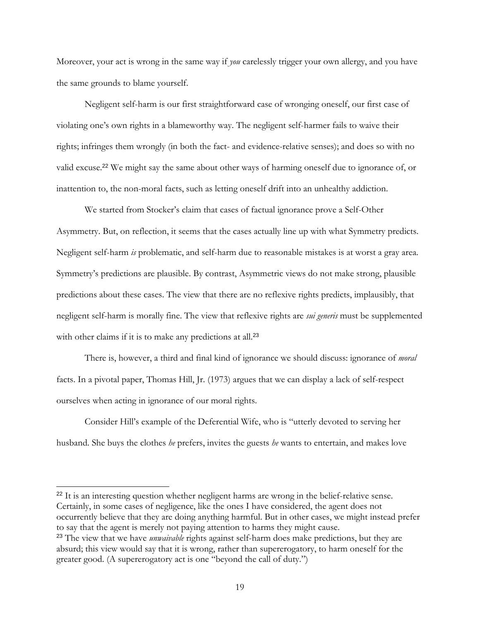Moreover, your act is wrong in the same way if *you* carelessly trigger your own allergy, and you have the same grounds to blame yourself.

Negligent self-harm is our first straightforward case of wronging oneself, our first case of violating one's own rights in a blameworthy way. The negligent self-harmer fails to waive their rights; infringes them wrongly (in both the fact- and evidence-relative senses); and does so with no valid excuse.<sup>22</sup> We might say the same about other ways of harming oneself due to ignorance of, or inattention to, the non-moral facts, such as letting oneself drift into an unhealthy addiction.

We started from Stocker's claim that cases of factual ignorance prove a Self-Other Asymmetry. But, on reflection, it seems that the cases actually line up with what Symmetry predicts. Negligent self-harm *is* problematic, and self-harm due to reasonable mistakes is at worst a gray area. Symmetry's predictions are plausible. By contrast, Asymmetric views do not make strong, plausible predictions about these cases. The view that there are no reflexive rights predicts, implausibly, that negligent self-harm is morally fine. The view that reflexive rights are *sui generis* must be supplemented with other claims if it is to make any predictions at all.<sup>23</sup>

There is, however, a third and final kind of ignorance we should discuss: ignorance of *moral*  facts. In a pivotal paper, Thomas Hill, Jr. (1973) argues that we can display a lack of self-respect ourselves when acting in ignorance of our moral rights.

Consider Hill's example of the Deferential Wife, who is "utterly devoted to serving her husband. She buys the clothes *he* prefers, invites the guests *he* wants to entertain, and makes love

<sup>22</sup> It is an interesting question whether negligent harms are wrong in the belief-relative sense. Certainly, in some cases of negligence, like the ones I have considered, the agent does not occurrently believe that they are doing anything harmful. But in other cases, we might instead prefer to say that the agent is merely not paying attention to harms they might cause. <sup>23</sup> The view that we have *unwaivable* rights against self-harm does make predictions, but they are

absurd; this view would say that it is wrong, rather than supererogatory, to harm oneself for the greater good. (A supererogatory act is one "beyond the call of duty.")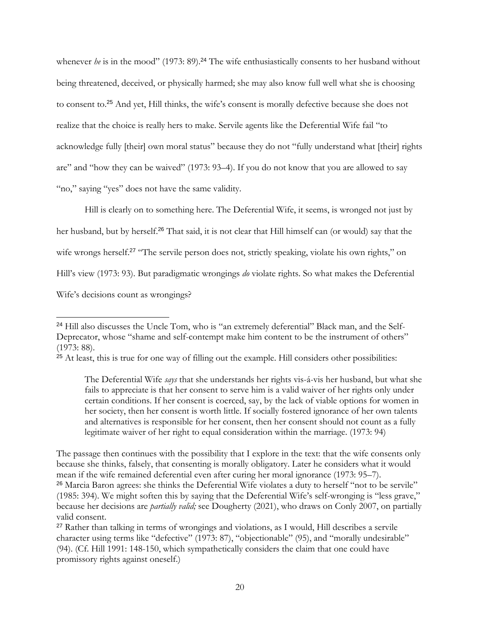whenever *he* is in the mood" (1973: 89).<sup>24</sup> The wife enthusiastically consents to her husband without being threatened, deceived, or physically harmed; she may also know full well what she is choosing to consent to.<sup>25</sup> And yet, Hill thinks, the wife's consent is morally defective because she does not realize that the choice is really hers to make. Servile agents like the Deferential Wife fail "to acknowledge fully [their] own moral status" because they do not "fully understand what [their] rights are" and "how they can be waived" (1973: 93–4). If you do not know that you are allowed to say "no," saying "yes" does not have the same validity.

Hill is clearly on to something here. The Deferential Wife, it seems, is wronged not just by her husband, but by herself.<sup>26</sup> That said, it is not clear that Hill himself can (or would) say that the wife wrongs herself.<sup>27</sup> "The servile person does not, strictly speaking, violate his own rights," on Hill's view (1973: 93). But paradigmatic wrongings *do* violate rights. So what makes the Deferential Wife's decisions count as wrongings?

<sup>&</sup>lt;sup>24</sup> Hill also discusses the Uncle Tom, who is "an extremely deferential" Black man, and the Self-Deprecator, whose "shame and self-contempt make him content to be the instrument of others" (1973: 88).

<sup>&</sup>lt;sup>25</sup> At least, this is true for one way of filling out the example. Hill considers other possibilities:

The Deferential Wife *says* that she understands her rights vis-á-vis her husband, but what she fails to appreciate is that her consent to serve him is a valid waiver of her rights only under certain conditions. If her consent is coerced, say, by the lack of viable options for women in her society, then her consent is worth little. If socially fostered ignorance of her own talents and alternatives is responsible for her consent, then her consent should not count as a fully legitimate waiver of her right to equal consideration within the marriage. (1973: 94)

The passage then continues with the possibility that I explore in the text: that the wife consents only because she thinks, falsely, that consenting is morally obligatory. Later he considers what it would mean if the wife remained deferential even after curing her moral ignorance (1973: 95–7). <sup>26</sup> Marcia Baron agrees: she thinks the Deferential Wife violates a duty to herself "not to be servile" (1985: 394). We might soften this by saying that the Deferential Wife's self-wronging is "less grave," because her decisions are *partially valid;* see Dougherty (2021), who draws on Conly 2007, on partially valid consent.

<sup>&</sup>lt;sup>27</sup> Rather than talking in terms of wrongings and violations, as I would, Hill describes a servile character using terms like "defective" (1973: 87), "objectionable" (95), and "morally undesirable" (94). (Cf. Hill 1991: 148-150, which sympathetically considers the claim that one could have promissory rights against oneself.)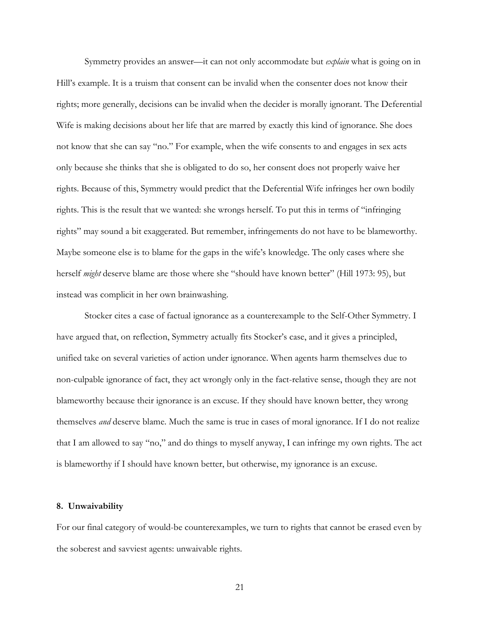Symmetry provides an answer—it can not only accommodate but *explain* what is going on in Hill's example. It is a truism that consent can be invalid when the consenter does not know their rights; more generally, decisions can be invalid when the decider is morally ignorant. The Deferential Wife is making decisions about her life that are marred by exactly this kind of ignorance. She does not know that she can say "no." For example, when the wife consents to and engages in sex acts only because she thinks that she is obligated to do so, her consent does not properly waive her rights. Because of this, Symmetry would predict that the Deferential Wife infringes her own bodily rights. This is the result that we wanted: she wrongs herself. To put this in terms of "infringing rights" may sound a bit exaggerated. But remember, infringements do not have to be blameworthy. Maybe someone else is to blame for the gaps in the wife's knowledge. The only cases where she herself *might* deserve blame are those where she "should have known better" (Hill 1973: 95), but instead was complicit in her own brainwashing.

Stocker cites a case of factual ignorance as a counterexample to the Self-Other Symmetry. I have argued that, on reflection, Symmetry actually fits Stocker's case, and it gives a principled, unified take on several varieties of action under ignorance. When agents harm themselves due to non-culpable ignorance of fact, they act wrongly only in the fact-relative sense, though they are not blameworthy because their ignorance is an excuse. If they should have known better, they wrong themselves *and* deserve blame. Much the same is true in cases of moral ignorance. If I do not realize that I am allowed to say "no," and do things to myself anyway, I can infringe my own rights. The act is blameworthy if I should have known better, but otherwise, my ignorance is an excuse.

#### **8. Unwaivability**

For our final category of would-be counterexamples, we turn to rights that cannot be erased even by the soberest and savviest agents: unwaivable rights.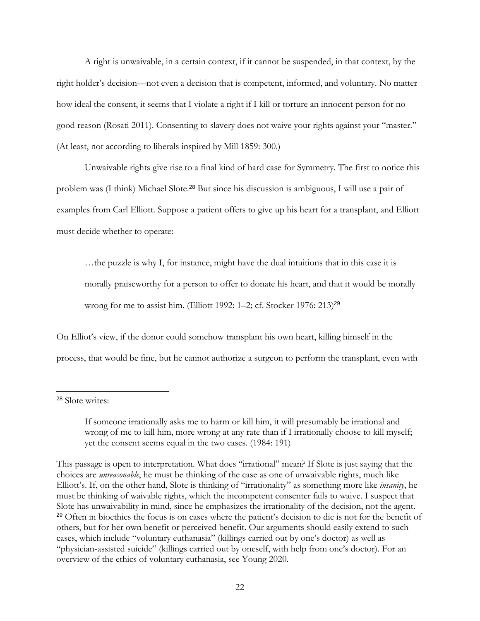A right is unwaivable, in a certain context, if it cannot be suspended, in that context, by the right holder's decision—not even a decision that is competent, informed, and voluntary. No matter how ideal the consent, it seems that I violate a right if I kill or torture an innocent person for no good reason (Rosati 2011). Consenting to slavery does not waive your rights against your "master." (At least, not according to liberals inspired by Mill 1859: 300.)

Unwaivable rights give rise to a final kind of hard case for Symmetry. The first to notice this problem was (I think) Michael Slote.<sup>28</sup> But since his discussion is ambiguous, I will use a pair of examples from Carl Elliott. Suppose a patient offers to give up his heart for a transplant, and Elliott must decide whether to operate:

…the puzzle is why I, for instance, might have the dual intuitions that in this case it is morally praiseworthy for a person to offer to donate his heart, and that it would be morally wrong for me to assist him. (Elliott 1992: 1-2; cf. Stocker 1976: 213)<sup>29</sup>

On Elliot's view, if the donor could somehow transplant his own heart, killing himself in the process, that would be fine, but he cannot authorize a surgeon to perform the transplant, even with

<sup>28</sup> Slote writes:

If someone irrationally asks me to harm or kill him, it will presumably be irrational and wrong of me to kill him, more wrong at any rate than if I irrationally choose to kill myself; yet the consent seems equal in the two cases. (1984: 191)

This passage is open to interpretation. What does "irrational" mean? If Slote is just saying that the choices are *unreasonable*, he must be thinking of the case as one of unwaivable rights, much like Elliott's. If, on the other hand, Slote is thinking of "irrationality" as something more like *insanity*, he must be thinking of waivable rights, which the incompetent consenter fails to waive. I suspect that Slote has unwaivability in mind, since he emphasizes the irrationality of the decision, not the agent. <sup>29</sup> Often in bioethics the focus is on cases where the patient's decision to die is not for the benefit of others, but for her own benefit or perceived benefit. Our arguments should easily extend to such cases, which include "voluntary euthanasia" (killings carried out by one's doctor) as well as "physician-assisted suicide" (killings carried out by oneself, with help from one's doctor). For an overview of the ethics of voluntary euthanasia, see Young 2020.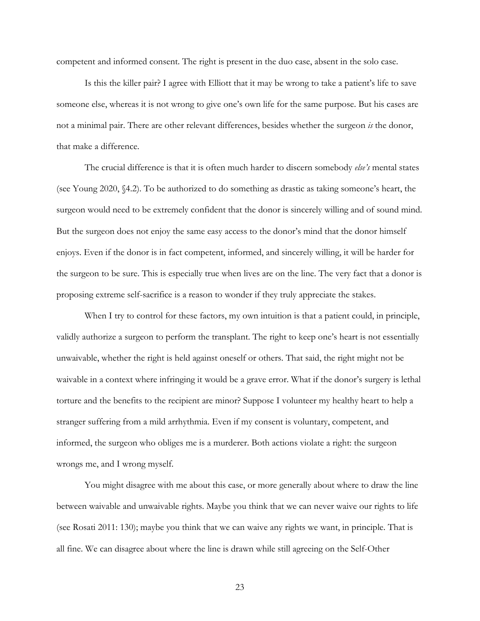competent and informed consent. The right is present in the duo case, absent in the solo case.

Is this the killer pair? I agree with Elliott that it may be wrong to take a patient's life to save someone else, whereas it is not wrong to give one's own life for the same purpose. But his cases are not a minimal pair. There are other relevant differences, besides whether the surgeon *is* the donor, that make a difference.

The crucial difference is that it is often much harder to discern somebody *else's* mental states (see Young 2020, §4.2). To be authorized to do something as drastic as taking someone's heart, the surgeon would need to be extremely confident that the donor is sincerely willing and of sound mind. But the surgeon does not enjoy the same easy access to the donor's mind that the donor himself enjoys. Even if the donor is in fact competent, informed, and sincerely willing, it will be harder for the surgeon to be sure. This is especially true when lives are on the line. The very fact that a donor is proposing extreme self-sacrifice is a reason to wonder if they truly appreciate the stakes.

When I try to control for these factors, my own intuition is that a patient could, in principle, validly authorize a surgeon to perform the transplant. The right to keep one's heart is not essentially unwaivable, whether the right is held against oneself or others. That said, the right might not be waivable in a context where infringing it would be a grave error. What if the donor's surgery is lethal torture and the benefits to the recipient are minor? Suppose I volunteer my healthy heart to help a stranger suffering from a mild arrhythmia. Even if my consent is voluntary, competent, and informed, the surgeon who obliges me is a murderer. Both actions violate a right: the surgeon wrongs me, and I wrong myself.

You might disagree with me about this case, or more generally about where to draw the line between waivable and unwaivable rights. Maybe you think that we can never waive our rights to life (see Rosati 2011: 130); maybe you think that we can waive any rights we want, in principle. That is all fine. We can disagree about where the line is drawn while still agreeing on the Self-Other

23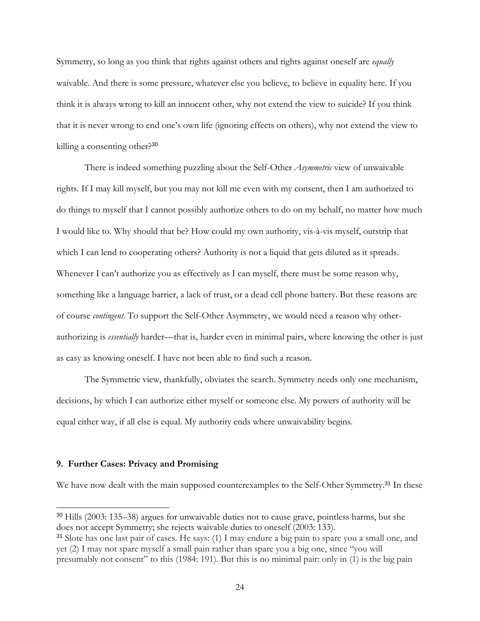Symmetry, so long as you think that rights against others and rights against oneself are *equally*  waivable. And there is some pressure, whatever else you believe, to believe in equality here. If you think it is always wrong to kill an innocent other, why not extend the view to suicide? If you think that it is never wrong to end one's own life (ignoring effects on others), why not extend the view to killing a consenting other?<sup>30</sup>

There is indeed something puzzling about the Self-Other *Asymmetric* view of unwaivable rights. If I may kill myself, but you may not kill me even with my consent, then I am authorized to do things to myself that I cannot possibly authorize others to do on my behalf, no matter how much I would like to. Why should that be? How could my own authority, vis-à-vis myself, outstrip that which I can lend to cooperating others? Authority is not a liquid that gets diluted as it spreads. Whenever I can't authorize you as effectively as I can myself, there must be some reason why, something like a language barrier, a lack of trust, or a dead cell phone battery. But these reasons are of course *contingent*. To support the Self-Other Asymmetry, we would need a reason why otherauthorizing is *essentially* harder—that is, harder even in minimal pairs, where knowing the other is just as easy as knowing oneself. I have not been able to find such a reason.

The Symmetric view, thankfully, obviates the search. Symmetry needs only one mechanism, decisions, by which I can authorize either myself or someone else. My powers of authority will be equal either way, if all else is equal. My authority ends where unwaivability begins.

## **9. Further Cases: Privacy and Promising**

We have now dealt with the main supposed counterexamples to the Self-Other Symmetry.<sup>31</sup> In these

<sup>30</sup> Hills (2003: 135–38) argues for unwaivable duties not to cause grave, pointless harms, but she does not accept Symmetry; she rejects waivable duties to oneself (2003: 133).

<sup>31</sup> Slote has one last pair of cases. He says: (1) I may endure a big pain to spare you a small one, and yet (2) I may not spare myself a small pain rather than spare you a big one, since "you will presumably not consent" to this (1984: 191). But this is no minimal pair: only in (1) is the big pain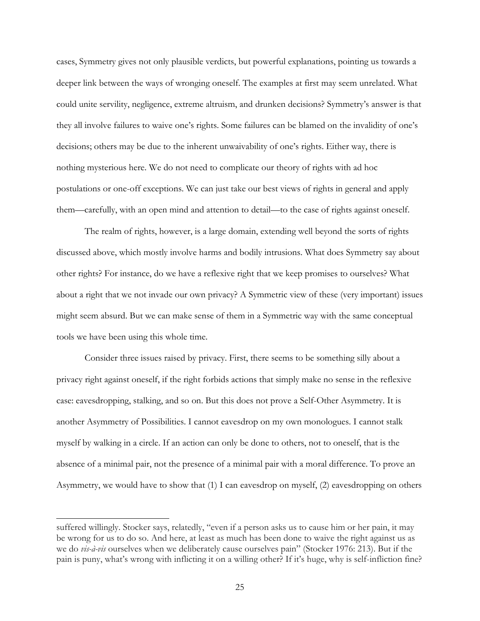cases, Symmetry gives not only plausible verdicts, but powerful explanations, pointing us towards a deeper link between the ways of wronging oneself. The examples at first may seem unrelated. What could unite servility, negligence, extreme altruism, and drunken decisions? Symmetry's answer is that they all involve failures to waive one's rights. Some failures can be blamed on the invalidity of one's decisions; others may be due to the inherent unwaivability of one's rights. Either way, there is nothing mysterious here. We do not need to complicate our theory of rights with ad hoc postulations or one-off exceptions. We can just take our best views of rights in general and apply them—carefully, with an open mind and attention to detail—to the case of rights against oneself.

The realm of rights, however, is a large domain, extending well beyond the sorts of rights discussed above, which mostly involve harms and bodily intrusions. What does Symmetry say about other rights? For instance, do we have a reflexive right that we keep promises to ourselves? What about a right that we not invade our own privacy? A Symmetric view of these (very important) issues might seem absurd. But we can make sense of them in a Symmetric way with the same conceptual tools we have been using this whole time.

Consider three issues raised by privacy. First, there seems to be something silly about a privacy right against oneself, if the right forbids actions that simply make no sense in the reflexive case: eavesdropping, stalking, and so on. But this does not prove a Self-Other Asymmetry. It is another Asymmetry of Possibilities. I cannot eavesdrop on my own monologues. I cannot stalk myself by walking in a circle. If an action can only be done to others, not to oneself, that is the absence of a minimal pair, not the presence of a minimal pair with a moral difference. To prove an Asymmetry, we would have to show that (1) I can eavesdrop on myself, (2) eavesdropping on others

suffered willingly. Stocker says, relatedly, "even if a person asks us to cause him or her pain, it may be wrong for us to do so. And here, at least as much has been done to waive the right against us as we do *vis-à-vis* ourselves when we deliberately cause ourselves pain" (Stocker 1976: 213). But if the pain is puny, what's wrong with inflicting it on a willing other? If it's huge, why is self-infliction fine?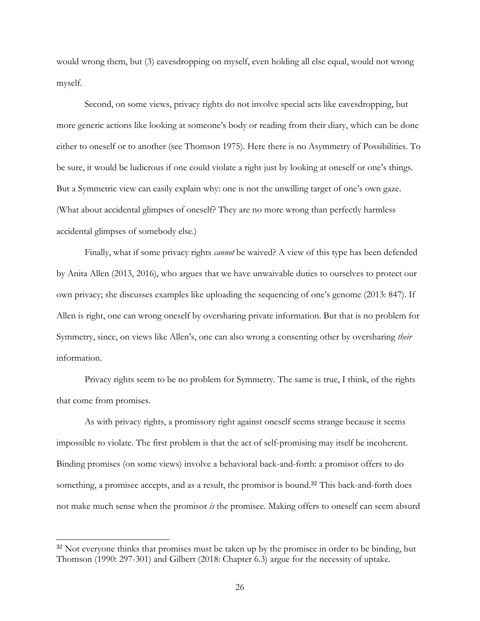would wrong them, but (3) eavesdropping on myself, even holding all else equal, would not wrong myself.

Second, on some views, privacy rights do not involve special acts like eavesdropping, but more generic actions like looking at someone's body or reading from their diary, which can be done either to oneself or to another (see Thomson 1975). Here there is no Asymmetry of Possibilities. To be sure, it would be ludicrous if one could violate a right just by looking at oneself or one's things. But a Symmetric view can easily explain why: one is not the unwilling target of one's own gaze. (What about accidental glimpses of oneself? They are no more wrong than perfectly harmless accidental glimpses of somebody else.)

Finally, what if some privacy rights *cannot* be waived? A view of this type has been defended by Anita Allen (2013, 2016), who argues that we have unwaivable duties to ourselves to protect our own privacy; she discusses examples like uploading the sequencing of one's genome (2013: 847). If Allen is right, one can wrong oneself by oversharing private information. But that is no problem for Symmetry, since, on views like Allen's, one can also wrong a consenting other by oversharing *their*  information.

Privacy rights seem to be no problem for Symmetry. The same is true, I think, of the rights that come from promises.

As with privacy rights, a promissory right against oneself seems strange because it seems impossible to violate. The first problem is that the act of self-promising may itself be incoherent. Binding promises (on some views) involve a behavioral back-and-forth: a promisor offers to do something, a promisee accepts, and as a result, the promisor is bound.<sup>32</sup> This back-and-forth does not make much sense when the promisor *is* the promisee. Making offers to oneself can seem absurd

<sup>&</sup>lt;sup>32</sup> Not everyone thinks that promises must be taken up by the promisee in order to be binding, but Thomson (1990: 297-301) and Gilbert (2018: Chapter 6.3) argue for the necessity of uptake.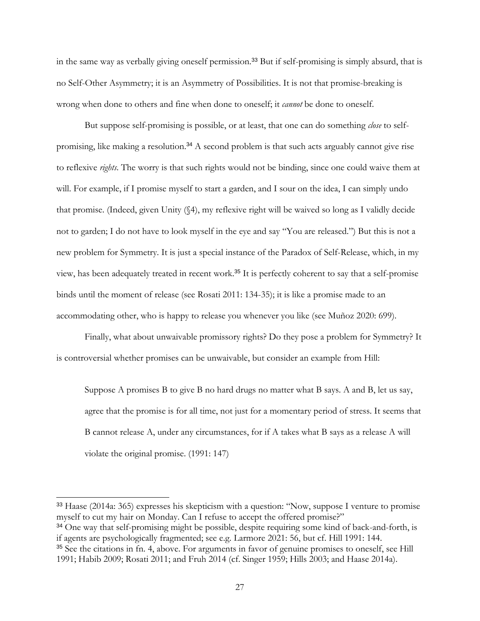in the same way as verbally giving oneself permission.<sup>33</sup> But if self-promising is simply absurd, that is no Self-Other Asymmetry; it is an Asymmetry of Possibilities. It is not that promise-breaking is wrong when done to others and fine when done to oneself; it *cannot* be done to oneself.

But suppose self-promising is possible, or at least, that one can do something *close* to selfpromising, like making a resolution.<sup>34</sup> A second problem is that such acts arguably cannot give rise to reflexive *rights*. The worry is that such rights would not be binding, since one could waive them at will. For example, if I promise myself to start a garden, and I sour on the idea, I can simply undo that promise. (Indeed, given Unity (§4), my reflexive right will be waived so long as I validly decide not to garden; I do not have to look myself in the eye and say "You are released.") But this is not a new problem for Symmetry. It is just a special instance of the Paradox of Self-Release, which, in my view, has been adequately treated in recent work.<sup>35</sup> It is perfectly coherent to say that a self-promise binds until the moment of release (see Rosati 2011: 134-35); it is like a promise made to an accommodating other, who is happy to release you whenever you like (see Muñoz 2020: 699).

Finally, what about unwaivable promissory rights? Do they pose a problem for Symmetry? It is controversial whether promises can be unwaivable, but consider an example from Hill:

Suppose A promises B to give B no hard drugs no matter what B says. A and B, let us say, agree that the promise is for all time, not just for a momentary period of stress. It seems that B cannot release A, under any circumstances, for if A takes what B says as a release A will violate the original promise. (1991: 147)

<sup>33</sup> Haase (2014a: 365) expresses his skepticism with a question: "Now, suppose I venture to promise myself to cut my hair on Monday. Can I refuse to accept the offered promise?"

<sup>&</sup>lt;sup>34</sup> One way that self-promising might be possible, despite requiring some kind of back-and-forth, is if agents are psychologically fragmented; see e.g. Larmore 2021: 56, but cf. Hill 1991: 144.

<sup>&</sup>lt;sup>35</sup> See the citations in fn. 4, above. For arguments in favor of genuine promises to oneself, see Hill 1991; Habib 2009; Rosati 2011; and Fruh 2014 (cf. Singer 1959; Hills 2003; and Haase 2014a).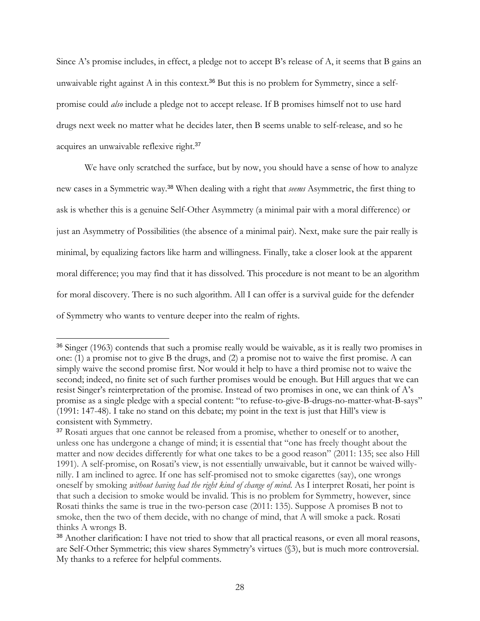Since A's promise includes, in effect, a pledge not to accept B's release of A, it seems that B gains an unwaivable right against A in this context.<sup>36</sup> But this is no problem for Symmetry, since a selfpromise could *also* include a pledge not to accept release. If B promises himself not to use hard drugs next week no matter what he decides later, then B seems unable to self-release, and so he acquires an unwaivable reflexive right.<sup>37</sup>

We have only scratched the surface, but by now, you should have a sense of how to analyze new cases in a Symmetric way. <sup>38</sup> When dealing with a right that *seems* Asymmetric, the first thing to ask is whether this is a genuine Self-Other Asymmetry (a minimal pair with a moral difference) or just an Asymmetry of Possibilities (the absence of a minimal pair). Next, make sure the pair really is minimal, by equalizing factors like harm and willingness. Finally, take a closer look at the apparent moral difference; you may find that it has dissolved. This procedure is not meant to be an algorithm for moral discovery. There is no such algorithm. All I can offer is a survival guide for the defender of Symmetry who wants to venture deeper into the realm of rights.

<sup>36</sup> Singer (1963) contends that such a promise really would be waivable, as it is really two promises in one: (1) a promise not to give B the drugs, and (2) a promise not to waive the first promise. A can simply waive the second promise first. Nor would it help to have a third promise not to waive the second; indeed, no finite set of such further promises would be enough. But Hill argues that we can resist Singer's reinterpretation of the promise. Instead of two promises in one, we can think of A's promise as a single pledge with a special content: "to refuse-to-give-B-drugs-no-matter-what-B-says" (1991: 147-48). I take no stand on this debate; my point in the text is just that Hill's view is consistent with Symmetry.

<sup>&</sup>lt;sup>37</sup> Rosati argues that one cannot be released from a promise, whether to oneself or to another, unless one has undergone a change of mind; it is essential that "one has freely thought about the matter and now decides differently for what one takes to be a good reason" (2011: 135; see also Hill 1991). A self-promise, on Rosati's view, is not essentially unwaivable, but it cannot be waived willynilly. I am inclined to agree. If one has self-promised not to smoke cigarettes (say), one wrongs oneself by smoking *without having had the right kind of change of mind*. As I interpret Rosati, her point is that such a decision to smoke would be invalid. This is no problem for Symmetry, however, since Rosati thinks the same is true in the two-person case (2011: 135). Suppose A promises B not to smoke, then the two of them decide, with no change of mind, that A will smoke a pack. Rosati thinks A wrongs B.

<sup>38</sup> Another clarification: I have not tried to show that all practical reasons, or even all moral reasons, are Self-Other Symmetric; this view shares Symmetry's virtues (§3), but is much more controversial. My thanks to a referee for helpful comments.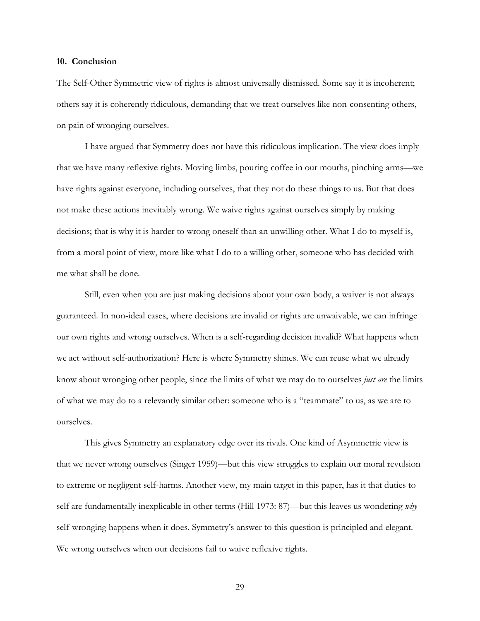#### **10. Conclusion**

The Self-Other Symmetric view of rights is almost universally dismissed. Some say it is incoherent; others say it is coherently ridiculous, demanding that we treat ourselves like non-consenting others, on pain of wronging ourselves.

I have argued that Symmetry does not have this ridiculous implication. The view does imply that we have many reflexive rights. Moving limbs, pouring coffee in our mouths, pinching arms—we have rights against everyone, including ourselves, that they not do these things to us. But that does not make these actions inevitably wrong. We waive rights against ourselves simply by making decisions; that is why it is harder to wrong oneself than an unwilling other. What I do to myself is, from a moral point of view, more like what I do to a willing other, someone who has decided with me what shall be done.

Still, even when you are just making decisions about your own body, a waiver is not always guaranteed. In non-ideal cases, where decisions are invalid or rights are unwaivable, we can infringe our own rights and wrong ourselves. When is a self-regarding decision invalid? What happens when we act without self-authorization? Here is where Symmetry shines. We can reuse what we already know about wronging other people, since the limits of what we may do to ourselves *just are* the limits of what we may do to a relevantly similar other: someone who is a "teammate" to us, as we are to ourselves.

This gives Symmetry an explanatory edge over its rivals. One kind of Asymmetric view is that we never wrong ourselves (Singer 1959)—but this view struggles to explain our moral revulsion to extreme or negligent self-harms. Another view, my main target in this paper, has it that duties to self are fundamentally inexplicable in other terms (Hill 1973: 87)—but this leaves us wondering *why*  self-wronging happens when it does. Symmetry's answer to this question is principled and elegant. We wrong ourselves when our decisions fail to waive reflexive rights.

29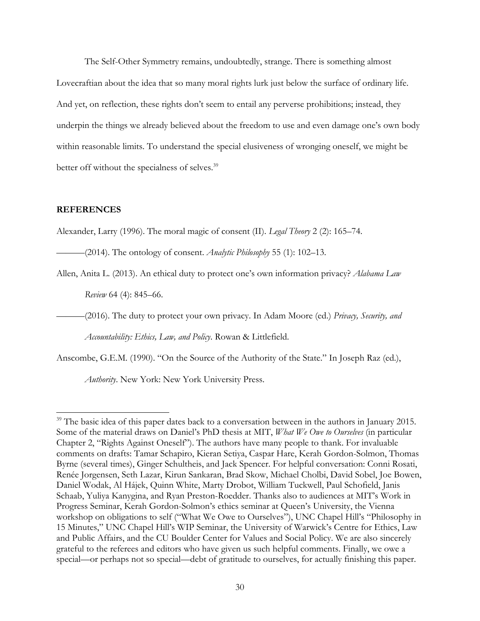The Self-Other Symmetry remains, undoubtedly, strange. There is something almost Lovecraftian about the idea that so many moral rights lurk just below the surface of ordinary life. And yet, on reflection, these rights don't seem to entail any perverse prohibitions; instead, they underpin the things we already believed about the freedom to use and even damage one's own body within reasonable limits. To understand the special elusiveness of wronging oneself, we might be better off without the specialness of selves.<sup>39</sup>

## **REFERENCES**

Alexander, Larry (1996). The moral magic of consent (II). *Legal Theory* 2 (2): 165–74.

———(2014). The ontology of consent. *Analytic Philosophy* 55 (1): 102–13.

Allen, Anita L. (2013). An ethical duty to protect one's own information privacy? *Alabama Law* 

*Review* 64 (4): 845–66.

———(2016). The duty to protect your own privacy. In Adam Moore (ed.) *Privacy, Security, and* 

*Accountability: Ethics, Law, and Policy*. Rowan & Littlefield.

Anscombe, G.E.M. (1990). "On the Source of the Authority of the State." In Joseph Raz (ed.),

*Authority*. New York: New York University Press.

<sup>&</sup>lt;sup>39</sup> The basic idea of this paper dates back to a conversation between in the authors in January 2015. Some of the material draws on Daniel's PhD thesis at MIT, *What We Owe to Ourselves* (in particular Chapter 2, "Rights Against Oneself"). The authors have many people to thank. For invaluable comments on drafts: Tamar Schapiro, Kieran Setiya, Caspar Hare, Kerah Gordon-Solmon, Thomas Byrne (several times), Ginger Schultheis, and Jack Spencer. For helpful conversation: Conni Rosati, Renée Jorgensen, Seth Lazar, Kirun Sankaran, Brad Skow, Michael Cholbi, David Sobel, Joe Bowen, Daniel Wodak, Al Hájek, Quinn White, Marty Drobot, William Tuckwell, Paul Schofield, Janis Schaab, Yuliya Kanygina, and Ryan Preston-Roedder. Thanks also to audiences at MIT's Work in Progress Seminar, Kerah Gordon-Solmon's ethics seminar at Queen's University, the Vienna workshop on obligations to self ("What We Owe to Ourselves"), UNC Chapel Hill's "Philosophy in 15 Minutes," UNC Chapel Hill's WIP Seminar, the University of Warwick's Centre for Ethics, Law and Public Affairs, and the CU Boulder Center for Values and Social Policy. We are also sincerely grateful to the referees and editors who have given us such helpful comments. Finally, we owe a special—or perhaps not so special—debt of gratitude to ourselves, for actually finishing this paper.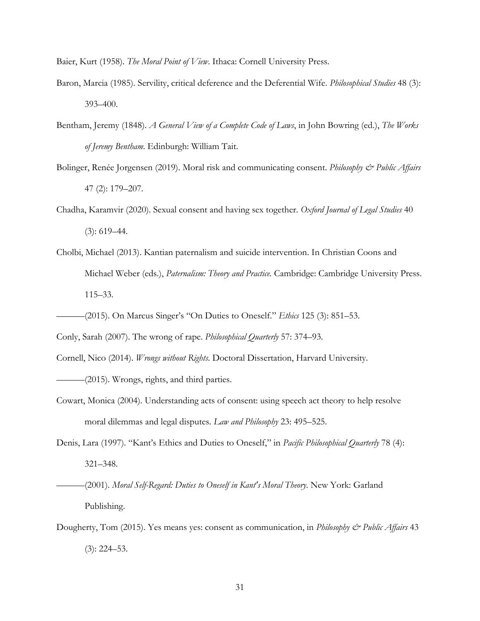Baier, Kurt (1958). *The Moral Point of View*. Ithaca: Cornell University Press.

- Baron, Marcia (1985). Servility, critical deference and the Deferential Wife. *Philosophical Studies* 48 (3): 393–400.
- Bentham, Jeremy (1848). *A General View of a Complete Code of Laws*, in John Bowring (ed.), *The Works of Jeremy Bentham*. Edinburgh: William Tait.
- Bolinger, Renée Jorgensen (2019). Moral risk and communicating consent. *Philosophy & Public Affairs*  47 (2): 179–207.
- Chadha, Karamvir (2020). Sexual consent and having sex together. *Oxford Journal of Legal Studies* 40  $(3): 619-44.$
- Cholbi, Michael (2013). Kantian paternalism and suicide intervention. In Christian Coons and Michael Weber (eds.), *Paternalism: Theory and Practice.* Cambridge: Cambridge University Press. 115–33.
- ———(2015). On Marcus Singer's "On Duties to Oneself." *Ethics* 125 (3): 851–53.

Conly, Sarah (2007). The wrong of rape. *Philosophical Quarterly* 57: 374–93.

Cornell, Nico (2014). *Wrongs without Rights*. Doctoral Dissertation, Harvard University.

———(2015). Wrongs, rights, and third parties.

- Cowart, Monica (2004). Understanding acts of consent: using speech act theory to help resolve moral dilemmas and legal disputes. *Law and Philosophy* 23: 495–525.
- Denis, Lara (1997). "Kant's Ethics and Duties to Oneself," in *Pacific Philosophical Quarterly* 78 (4): 321–348.

———(2001). *Moral Self-Regard: Duties to Oneself in Kant's Moral Theory*. New York: Garland Publishing.

Dougherty, Tom (2015). Yes means yes: consent as communication, in *Philosophy & Public Affairs* 43 (3): 224–53.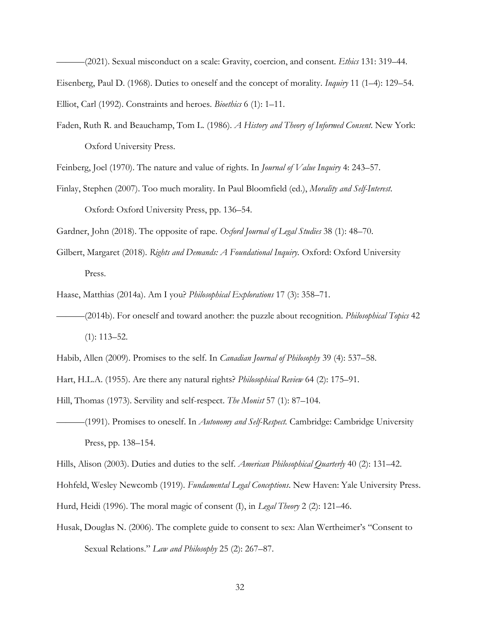———(2021). Sexual misconduct on a scale: Gravity, coercion, and consent. *Ethics* 131: 319–44. Eisenberg, Paul D. (1968). Duties to oneself and the concept of morality. *Inquiry* 11 (1–4): 129–54. Elliot, Carl (1992). Constraints and heroes. *Bioethics* 6 (1): 1–11.

Faden, Ruth R. and Beauchamp, Tom L. (1986). *A History and Theory of Informed Consent*. New York: Oxford University Press.

Feinberg, Joel (1970). The nature and value of rights. In *Journal of Value Inquiry* 4: 243–57.

Finlay, Stephen (2007). Too much morality. In Paul Bloomfield (ed.), *Morality and Self-Interest*. Oxford: Oxford University Press, pp. 136–54.

Gardner, John (2018). The opposite of rape. *Oxford Journal of Legal Studies* 38 (1): 48–70.

Gilbert, Margaret (2018). *Rights and Demands: A Foundational Inquiry.* Oxford: Oxford University Press.

Haase, Matthias (2014a). Am I you? *Philosophical Explorations* 17 (3): 358–71.

———(2014b). For oneself and toward another: the puzzle about recognition. *Philosophical Topics* 42 (1): 113–52.

Hart, H.L.A. (1955). Are there any natural rights? *Philosophical Review* 64 (2): 175–91.

Hill, Thomas (1973). Servility and self-respect. *The Monist* 57 (1): 87–104.

———(1991). Promises to oneself. In *Autonomy and Self-Respect.* Cambridge: Cambridge University Press, pp. 138–154.

Hills, Alison (2003). Duties and duties to the self. *American Philosophical Quarterly* 40 (2): 131–42.

Hohfeld, Wesley Newcomb (1919). *Fundamental Legal Conceptions*. New Haven: Yale University Press.

Hurd, Heidi (1996). The moral magic of consent (I), in *Legal Theory* 2 (2): 121–46.

Husak, Douglas N. (2006). The complete guide to consent to sex: Alan Wertheimer's "Consent to Sexual Relations." *Law and Philosophy* 25 (2): 267–87.

Habib, Allen (2009). Promises to the self. In *Canadian Journal of Philosophy* 39 (4): 537–58.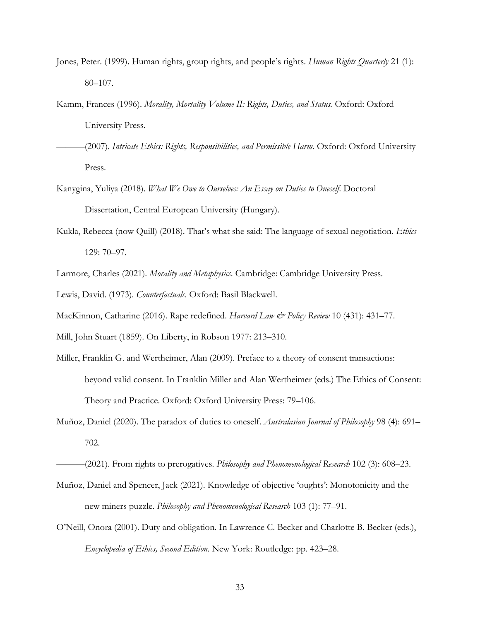- Jones, Peter. (1999). Human rights, group rights, and people's rights. *Human Rights Quarterly* 21 (1): 80–107.
- Kamm, Frances (1996). *Morality, Mortality Volume II: Rights, Duties, and Status.* Oxford: Oxford University Press.
- ———(2007). *Intricate Ethics: Rights, Responsibilities, and Permissible Harm.* Oxford: Oxford University Press.
- Kanygina, Yuliya (2018). *What We Owe to Ourselves: An Essay on Duties to Oneself*. Doctoral Dissertation, Central European University (Hungary).
- Kukla, Rebecca (now Quill) (2018). That's what she said: The language of sexual negotiation. *Ethics*  129: 70–97.
- Larmore, Charles (2021). *Morality and Metaphysics*. Cambridge: Cambridge University Press.
- Lewis, David. (1973). *Counterfactuals*. Oxford: Basil Blackwell.
- MacKinnon, Catharine (2016). Rape redefined. *Harvard Law & Policy Review* 10 (431): 431–77.
- Mill, John Stuart (1859). On Liberty, in Robson 1977: 213–310.
- Miller, Franklin G. and Wertheimer, Alan (2009). Preface to a theory of consent transactions: beyond valid consent. In Franklin Miller and Alan Wertheimer (eds.) The Ethics of Consent: Theory and Practice. Oxford: Oxford University Press: 79–106.
- Muñoz, Daniel (2020). The paradox of duties to oneself. *Australasian Journal of Philosophy* 98 (4): 691– 702.

- Muñoz, Daniel and Spencer, Jack (2021). Knowledge of objective 'oughts': Monotonicity and the new miners puzzle. *Philosophy and Phenomenological Research* 103 (1): 77–91.
- O'Neill, Onora (2001). Duty and obligation. In Lawrence C. Becker and Charlotte B. Becker (eds.), *Encyclopedia of Ethics, Second Edition*. New York: Routledge: pp. 423–28.

<sup>———</sup>(2021). From rights to prerogatives. *Philosophy and Phenomenological Research* 102 (3): 608–23.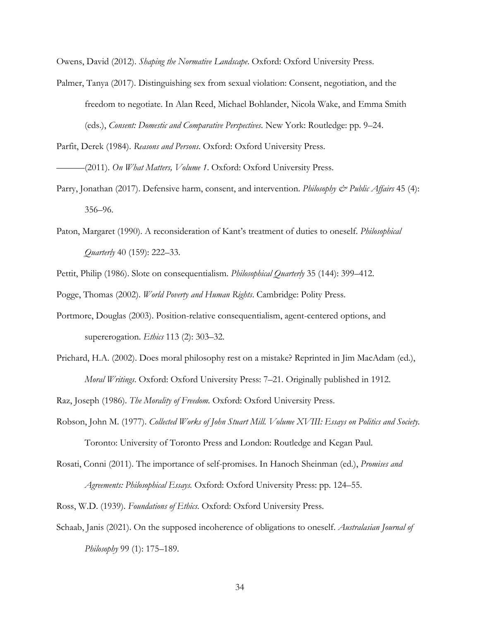Owens, David (2012). *Shaping the Normative Landscape*. Oxford: Oxford University Press.

Palmer, Tanya (2017). Distinguishing sex from sexual violation: Consent, negotiation, and the freedom to negotiate. In Alan Reed, Michael Bohlander, Nicola Wake, and Emma Smith (eds.), *Consent: Domestic and Comparative Perspectives*. New York: Routledge: pp. 9–24.

Parfit, Derek (1984). *Reasons and Persons*. Oxford: Oxford University Press.

———(2011). *On What Matters, Volume 1*. Oxford: Oxford University Press.

- Parry, Jonathan (2017). Defensive harm, consent, and intervention. *Philosophy & Public Affairs* 45 (4): 356–96.
- Paton, Margaret (1990). A reconsideration of Kant's treatment of duties to oneself. *Philosophical Quarterly* 40 (159): 222–33.

Pettit, Philip (1986). Slote on consequentialism. *Philosophical Quarterly* 35 (144): 399–412.

Pogge, Thomas (2002). *World Poverty and Human Rights*. Cambridge: Polity Press.

- Portmore, Douglas (2003). Position-relative consequentialism, agent-centered options, and supererogation. *Ethics* 113 (2): 303–32.
- Prichard, H.A. (2002). Does moral philosophy rest on a mistake? Reprinted in Jim MacAdam (ed.), *Moral Writings*. Oxford: Oxford University Press: 7–21. Originally published in 1912.

Raz, Joseph (1986). *The Morality of Freedom.* Oxford: Oxford University Press.

- Robson, John M. (1977). *Collected Works of John Stuart Mill. Volume XVIII: Essays on Politics and Society.*  Toronto: University of Toronto Press and London: Routledge and Kegan Paul.
- Rosati, Conni (2011). The importance of self-promises. In Hanoch Sheinman (ed.), *Promises and Agreements: Philosophical Essays.* Oxford: Oxford University Press: pp. 124–55.

Ross, W.D. (1939). *Foundations of Ethics*. Oxford: Oxford University Press.

Schaab, Janis (2021). On the supposed incoherence of obligations to oneself. *Australasian Journal of Philosophy* 99 (1): 175–189.